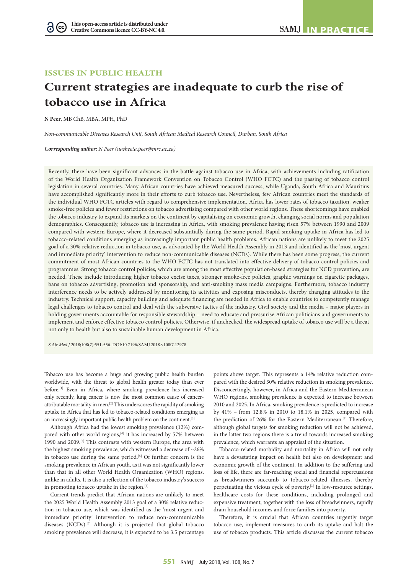# **ISSUES IN PUBLIC HEALTH**

# **Current strategies are inadequate to curb the rise of tobacco use in Africa**

**N Peer**, MB ChB, MBA, MPH, PhD

*Non-communicable Diseases Research Unit, South African Medical Research Council, Durban, South Africa*

*Corresponding author: N Peer (nasheeta.peer@mrc.ac.za)*

Recently, there have been significant advances in the battle against tobacco use in Africa, with achievements including ratification of the World Health Organization Framework Convention on Tobacco Control (WHO FCTC) and the passing of tobacco control legislation in several countries. Many African countries have achieved measured success, while Uganda, South Africa and Mauritius have accomplished significantly more in their efforts to curb tobacco use. Nevertheless, few African countries meet the standards of the individual WHO FCTC articles with regard to comprehensive implementation. Africa has lower rates of tobacco taxation, weaker smoke-free policies and fewer restrictions on tobacco advertising compared with other world regions. These shortcomings have enabled the tobacco industry to expand its markets on the continent by capitalising on economic growth, changing social norms and population demographics. Consequently, tobacco use is increasing in Africa, with smoking prevalence having risen 57% between 1990 and 2009 compared with western Europe, where it decreased substantially during the same period. Rapid smoking uptake in Africa has led to tobacco-related conditions emerging as increasingly important public health problems. African nations are unlikely to meet the 2025 goal of a 30% relative reduction in tobacco use, as advocated by the World Health Assembly in 2013 and identified as the 'most urgent and immediate priority' intervention to reduce non-communicable diseases (NCDs). While there has been some progress, the current commitment of most African countries to the WHO FCTC has not translated into effective delivery of tobacco control policies and programmes. Strong tobacco control policies, which are among the most effective population-based strategies for NCD prevention, are needed. These include introducing higher tobacco excise taxes, stronger smoke-free policies, graphic warnings on cigarette packages, bans on tobacco advertising, promotion and sponsorship, and anti-smoking mass media campaigns. Furthermore, tobacco industry interference needs to be actively addressed by monitoring its activities and exposing misconducts, thereby changing attitudes to the industry. Technical support, capacity building and adequate financing are needed in Africa to enable countries to competently manage legal challenges to tobacco control and deal with the subversive tactics of the industry. Civil society and the media – major players in holding governments accountable for responsible stewardship – need to educate and pressurise African politicians and governments to implement and enforce effective tobacco control policies. Otherwise, if unchecked, the widespread uptake of tobacco use will be a threat not only to health but also to sustainable human development in Africa.

*S Afr Med J* 2018;108(7):551-556. DOI:10.7196/SAMJ.2018.v108i7.12978

Tobacco use has become a huge and growing public health burden worldwide, with the threat to global health greater today than ever before.<sup>[1]</sup> Even in Africa, where smoking prevalence has increased only recently, lung cancer is now the most common cause of cancerattributable mortality in men.[2] This underscores the rapidity of smoking uptake in Africa that has led to tobacco-related conditions emerging as an increasingly important public health problem on the continent.<sup>[3]</sup>

Although Africa had the lowest smoking prevalence (12%) compared with other world regions,<sup>[4]</sup> it has increased by 57% between 1990 and 2009.[5] This contrasts with western Europe, the area with the highest smoking prevalence, which witnessed a decrease of ~26% in tobacco use during the same period.<sup>[5]</sup> Of further concern is the smoking prevalence in African youth, as it was not significantly lower than that in all other World Health Organization (WHO) regions, unlike in adults. It is also a reflection of the tobacco industry's success in promoting tobacco uptake in the region.<sup>[6]</sup>

Current trends predict that African nations are unlikely to meet the 2025 World Health Assembly 2013 goal of a 30% relative reduction in tobacco use, which was identified as the 'most urgent and immediate priority' intervention to reduce non-communicable diseases (NCDs).[7] Although it is projected that global tobacco smoking prevalence will decrease, it is expected to be 3.5 percentage points above target. This represents a 14% relative reduction compared with the desired 30% relative reduction in smoking prevalence. Disconcertingly, however, in Africa and the Eastern Mediterranean WHO regions, smoking prevalence is expected to increase between 2010 and 2025. In Africa, smoking prevalence is predicted to increase by 41% – from 12.8% in 2010 to 18.1% in 2025, compared with the prediction of 26% for the Eastern Mediterranean.<sup>[7]</sup> Therefore, although global targets for smoking reduction will not be achieved, in the latter two regions there is a trend towards increased smoking prevalence, which warrants an appraisal of the situation.

Tobacco-related morbidity and mortality in Africa will not only have a devastating impact on health but also on development and economic growth of the continent. In addition to the suffering and loss of life, there are far-reaching social and financial repercussions as breadwinners succumb to tobacco-related illnesses, thereby perpetuating the vicious cycle of poverty.[3] In low-resource settings, healthcare costs for these conditions, including prolonged and expensive treatment, together with the loss of breadwinners, rapidly drain household incomes and force families into poverty.

Therefore, it is crucial that African countries urgently target tobacco use, implement measures to curb its uptake and halt the use of tobacco products. This article discusses the current tobacco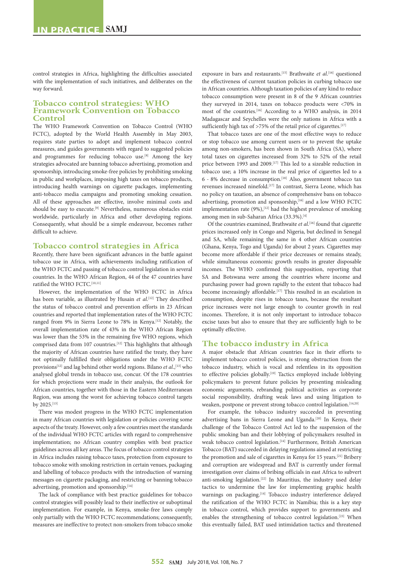control strategies in Africa, highlighting the difficulties associated with the implementation of such initiatives, and deliberates on the way forward.

# **Tobacco control strategies: WHO Framework Convention on Tobacco Control**

The WHO Framework Convention on Tobacco Control (WHO FCTC), adopted by the World Health Assembly in May 2003, requires state parties to adopt and implement tobacco control measures, and guides governments with regard to suggested policies and programmes for reducing tobacco use.<sup>[8]</sup> Among the key strategies advocated are banning tobacco advertising, promotion and sponsorship, introducing smoke-free policies by prohibiting smoking in public and workplaces, imposing high taxes on tobacco products, introducing health warnings on cigarette packages, implementing anti-tobacco media campaigns and promoting smoking cessation. All of these approaches are effective, involve minimal costs and should be easy to execute.[9] Nevertheless, numerous obstacles exist worldwide, particularly in Africa and other developing regions. Consequently, what should be a simple endeavour, becomes rather difficult to achieve.

## **Tobacco control strategies in Africa**

Recently, there have been significant advances in the battle against tobacco use in Africa, with achievements including ratification of the WHO FCTC and passing of tobacco control legislation in several countries. In the WHO African Region, 44 of the 47 countries have ratified the WHO FCTC.  $^{[10,11]}$ 

However, the implementation of the WHO FCTC in Africa has been variable, as illustrated by Husain *et al*. [12] They described the status of tobacco control and prevention efforts in 23 African countries and reported that implementation rates of the WHO FCTC ranged from 9% in Sierra Leone to 78% in Kenya.<sup>[12]</sup> Notably, the overall implementation rate of 43% in the WHO African Region was lower than the 53% in the remaining five WHO regions, which comprised data from 107 countries.<sup>[12]</sup> This highlights that although the majority of African countries have ratified the treaty, they have not optimally fulfilled their obligations under the WHO FCTC provisions<sup>[12]</sup> and lag behind other world regions. Bilano *et al.*,<sup>[13]</sup> who analysed global trends in tobacco use, concur. Of the 178 countries for which projections were made in their analysis, the outlook for African countries, together with those in the Eastern Mediterranean Region, was among the worst for achieving tobacco control targets by 2025.[13]

There was modest progress in the WHO FCTC implementation in many African countries with legislation or policies covering some aspects of the treaty. However, only a few countries meet the standards of the individual WHO FCTC articles with regard to comprehensive implementation; no African country complies with best practice guidelines across all key areas. The focus of tobacco control strategies in Africa includes raising tobacco taxes, protection from exposure to tobacco smoke with smoking restriction in certain venues, packaging and labelling of tobacco products with the introduction of warning messages on cigarette packaging, and restricting or banning tobacco advertising, promotion and sponsorship.[14]

The lack of compliance with best practice guidelines for tobacco control strategies will possibly lead to their ineffective or suboptimal implementation. For example, in Kenya, smoke-free laws comply only partially with the WHO FCTC recommendations; consequently, measures are ineffective to protect non-smokers from tobacco smoke

exposure in bars and restaurants.<sup>[15]</sup> Brathwaite *et al*.<sup>[16]</sup> questioned the effectiveness of current taxation policies in curbing tobacco use in African countries. Although taxation policies of any kind to reduce tobacco consumption were present in 8 of the 9 African countries they surveyed in 2014, taxes on tobacco products were <70% in most of the countries.<sup>[16]</sup> According to a WHO analysis, in 2014 Madagascar and Seychelles were the only nations in Africa with a sufficiently high tax of >75% of the retail price of cigarettes.<sup>[17]</sup>

That tobacco taxes are one of the most effective ways to reduce or stop tobacco use among current users or to prevent the uptake among non-smokers, has been shown in South Africa (SA), where total taxes on cigarettes increased from 32% to 52% of the retail price between 1993 and 2009.<sup>[17]</sup> This led to a sizeable reduction in tobacco use; a 10% increase in the real price of cigarettes led to a 6 - 8% decrease in consumption.[18] Also, government tobacco tax revenues increased ninefold.[17] In contrast, Sierra Leone, which has no policy on taxation, an absence of comprehensive bans on tobacco advertising, promotion and sponsorship,<sup>[16]</sup> and a low WHO FCTC implementation rate  $(9\%)$ ,  $[12]$  had the highest prevalence of smoking among men in sub-Saharan Africa (33.3%).[4]

Of the countries examined, Brathwaite *et al*. [16] found that cigarette prices increased only in Congo and Nigeria, but declined in Senegal and SA, while remaining the same in 4 other African countries (Ghana, Kenya, Togo and Uganda) for about 2 years. Cigarettes may become more affordable if their price decreases or remains steady, while simultaneous economic growth results in greater disposable incomes. The WHO confirmed this supposition, reporting that SA and Botswana were among the countries where income and purchasing power had grown rapidly to the extent that tobacco had become increasingly affordable.[17] This resulted in an escalation in consumption, despite rises in tobacco taxes, because the resultant price increases were not large enough to counter growth in real incomes. Therefore, it is not only important to introduce tobacco excise taxes but also to ensure that they are sufficiently high to be optimally effective.

#### **The tobacco industry in Africa**

A major obstacle that African countries face in their efforts to implement tobacco control policies, is strong obstruction from the tobacco industry, which is vocal and relentless in its opposition to effective policies globally.<sup>[19]</sup> Tactics employed include lobbying policymakers to prevent future policies by presenting misleading economic arguments, rebranding political activities as corporate social responsibility, drafting weak laws and using litigation to weaken, postpone or prevent strong tobacco control legislation.<sup>[14,20]</sup>

For example, the tobacco industry succeeded in preventing advertising bans in Sierra Leone and Uganda.<sup>[20]</sup> In Kenya, their challenge of the Tobacco Control Act led to the suspension of the public smoking ban and their lobbying of policymakers resulted in weak tobacco control legislation.<sup>[14]</sup> Furthermore, British American Tobacco (BAT) succeeded in delaying regulations aimed at restricting the promotion and sale of cigarettes in Kenya for 15 years.[21] Bribery and corruption are widespread and BAT is currently under formal investigation over claims of bribing officials in east Africa to subvert anti-smoking legislation.<sup>[22]</sup> In Mauritius, the industry used delay tactics to undermine the law for implementing graphic health warnings on packaging.<sup>[14]</sup> Tobacco industry interference delayed the ratification of the WHO FCTC in Namibia; this is a key step in tobacco control, which provides support to governments and enables the strengthening of tobacco control legislation.[23] When this eventually failed, BAT used intimidation tactics and threatened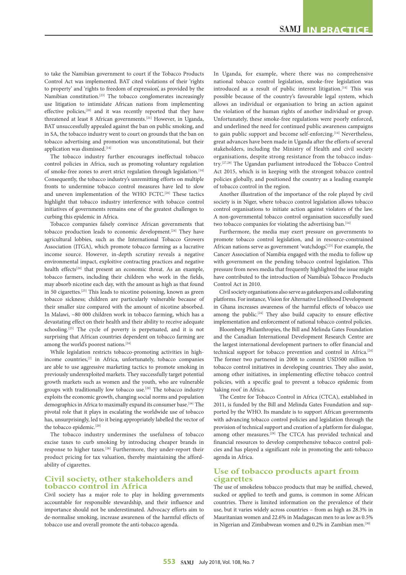to take the Namibian government to court if the Tobacco Products Control Act was implemented. BAT cited violations of their 'rights to property' and 'rights to freedom of expression', as provided by the Namibian constitution.[23] The tobacco conglomerates increasingly use litigation to intimidate African nations from implementing effective policies,<sup>[20]</sup> and it was recently reported that they have threatened at least 8 African governments.[21] However, in Uganda, BAT unsuccessfully appealed against the ban on public smoking, and in SA, the tobacco industry went to court on grounds that the ban on tobacco advertising and promotion was unconstitutional, but their application was dismissed.<sup>[14]</sup>

The tobacco industry further encourages ineffectual tobacco control policies in Africa, such as promoting voluntary regulation of smoke-free zones to avert strict regulation through legislation.<sup>[14]</sup> Consequently, the tobacco industry's unremitting efforts on multiple fronts to undermine tobacco control measures have led to slow and uneven implementation of the WHO FCTC.[20] These tactics highlight that tobacco industry interference with tobacco control initiatives of governments remains one of the greatest challenges to curbing this epidemic in Africa.

Tobacco companies falsely convince African governments that tobacco production leads to economic development.[24] They have agricultural lobbies, such as the International Tobacco Growers Association (ITGA), which promote tobacco farming as a lucrative income source. However, in-depth scrutiny reveals a negative environmental impact, exploitive contracting practices and negative health effects<sup>[24]</sup> that present an economic threat. As an example, tobacco farmers, including their children who work in the fields, may absorb nicotine each day, with the amount as high as that found in 50 cigarettes.[25] This leads to nicotine poisoning, known as green tobacco sickness; children are particularly vulnerable because of their smaller size compared with the amount of nicotine absorbed. In Malawi, ~80 000 children work in tobacco farming, which has a devastating effect on their health and their ability to receive adequate schooling.<sup>[25]</sup> The cycle of poverty is perpetuated, and it is not surprising that African countries dependent on tobacco farming are among the world's poorest nations.<sup>[24]</sup>

While legislation restricts tobacco-promoting activities in highincome countries,[2] in Africa, unfortunately, tobacco companies are able to use aggressive marketing tactics to promote smoking in previously underexploited markets. They successfully target potential growth markets such as women and the youth, who are vulnerable groups with traditionally low tobacco use.[20] The tobacco industry exploits the economic growth, changing social norms and population demographics in Africa to maximally expand its consumer base.<sup>[16]</sup> The pivotal role that it plays in escalating the worldwide use of tobacco has, unsurprisingly, led to it being appropriately labelled the vector of the tobacco epidemic.<sup>[20]</sup>

The tobacco industry undermines the usefulness of tobacco excise taxes to curb smoking by introducing cheaper brands in response to higher taxes.[26] Furthermore, they under-report their product pricing for tax valuation, thereby maintaining the affordability of cigarettes.

# **Civil society, other stakeholders and tobacco control in Africa**

Civil society has a major role to play in holding governments accountable for responsible stewardship, and their influence and importance should not be underestimated. Advocacy efforts aim to de-normalise smoking, increase awareness of the harmful effects of tobacco use and overall promote the anti-tobacco agenda.

In Uganda, for example, where there was no comprehensive national tobacco control legislation, smoke-free legislation was introduced as a result of public interest litigation.<sup>[14]</sup> This was possible because of the country's favourable legal system, which allows an individual or organisation to bring an action against the violation of the human rights of another individual or group. Unfortunately, these smoke-free regulations were poorly enforced, and underlined the need for continued public awareness campaigns to gain public support and become self-enforcing.<sup>[14]</sup> Nevertheless, great advances have been made in Uganda after the efforts of several stakeholders, including the Ministry of Health and civil society organisations, despite strong resistance from the tobacco industry.[27,28] The Ugandan parliament introduced the Tobacco Control Act 2015, which is in keeping with the strongest tobacco control policies globally, and positioned the country as a leading example of tobacco control in the region.

Another illustration of the importance of the role played by civil society is in Niger, where tobacco control legislation allows tobacco control organisations to initiate action against violators of the law. A non-governmental tobacco control organisation successfully sued two tobacco companies for violating the advertising ban.<sup>[14]</sup>

Furthermore, the media may exert pressure on governments to promote tobacco control legislation, and in resource-constrained African nations serve as government 'watchdogs'.<sup>[23]</sup> For example, the Cancer Association of Namibia engaged with the media to follow up with government on the pending tobacco control legislation. This pressure from news media that frequently highlighted the issue might have contributed to the introduction of Namibia's Tobacco Products Control Act in 2010.

Civil society organisations also serve as gatekeepers and collaborating platforms. For instance, Vision for Alternative Livelihood Development in Ghana increases awareness of the harmful effects of tobacco use among the public.<sup>[24]</sup> They also build capacity to ensure effective implementation and enforcement of national tobacco control policies.

Bloomberg Philanthropies, the Bill and Melinda Gates Foundation and the Canadian International Development Research Centre are the largest international development partners to offer financial and technical support for tobacco prevention and control in Africa.<sup>[24]</sup> The former two partnered in 2008 to commit USD500 million to tobacco control initiatives in developing countries. They also assist, among other initiatives, in implementing effective tobacco control policies, with a specific goal to prevent a tobacco epidemic from 'taking root' in Africa.

The Centre for Tobacco Control in Africa (CTCA), established in 2011, is funded by the Bill and Melinda Gates Foundation and supported by the WHO. Its mandate is to support African governments with advancing tobacco control policies and legislation through the provision of technical support and creation of a platform for dialogue, among other measures.[29] The CTCA has provided technical and financial resources to develop comprehensive tobacco control policies and has played a significant role in promoting the anti-tobacco agenda in Africa.

# **Use of tobacco products apart from cigarettes**

The use of smokeless tobacco products that may be sniffed, chewed, sucked or applied to teeth and gums, is common in some African countries. There is limited information on the prevalence of their use, but it varies widely across countries – from as high as 28.3% in Mauritanian women and 22.6% in Madagascan men to as low as 0.5% in Nigerian and Zimbabwean women and 0.2% in Zambian men.<sup>[30]</sup>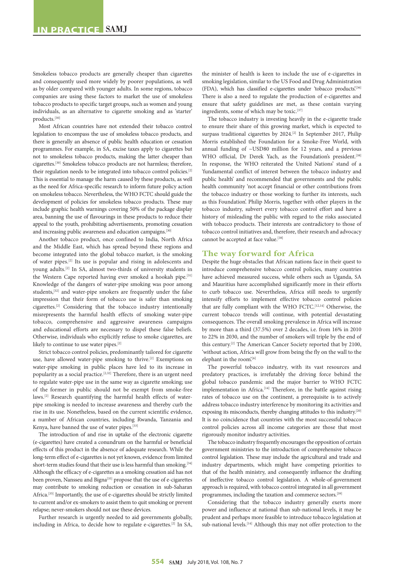Smokeless tobacco products are generally cheaper than cigarettes and consequently used more widely by poorer populations, as well as by older compared with younger adults. In some regions, tobacco companies are using these factors to market the use of smokeless tobacco products to specific target groups, such as women and young individuals, as an alternative to cigarette smoking and as 'starter' products.[30]

Most African countries have not extended their tobacco control legislation to encompass the use of smokeless tobacco products, and there is generally an absence of public health education or cessation programmes. For example, in SA, excise taxes apply to cigarettes but not to smokeless tobacco products, making the latter cheaper than cigarettes.[30] Smokeless tobacco products are not harmless; therefore, their regulation needs to be integrated into tobacco control policies.[2] This is essential to manage the harm caused by these products, as well as the need for Africa-specific research to inform future policy action on smokeless tobacco. Nevertheless, the WHO FCTC should guide the development of policies for smokeless tobacco products. These may include graphic health warnings covering 50% of the package display area, banning the use of flavourings in these products to reduce their appeal to the youth, prohibiting advertisements, promoting cessation and increasing public awareness and education campaigns.[30]

Another tobacco product, once confined to India, North Africa and the Middle East, which has spread beyond these regions and become integrated into the global tobacco market, is the smoking of water pipes.[2] Its use is popular and rising in adolescents and young adults.[2] In SA, almost two-thirds of university students in the Western Cape reported having ever smoked a hookah pipe.<sup>[31]</sup> Knowledge of the dangers of water-pipe smoking was poor among students,<sup>[32]</sup> and water-pipe smokers are frequently under the false impression that their form of tobacco use is safer than smoking cigarettes.[2] Considering that the tobacco industry intentionally misrepresents the harmful health effects of smoking water-pipe tobacco, comprehensive and aggressive awareness campaigns and educational efforts are necessary to dispel these false beliefs. Otherwise, individuals who explicitly refuse to smoke cigarettes, are likely to continue to use water pipes.<sup>[2]</sup>

Strict tobacco control policies, predominantly tailored for cigarette use, have allowed water-pipe smoking to thrive.<sup>[2]</sup> Exemptions on water-pipe smoking in public places have led to its increase in popularity as a social practice.<sup>[2,32]</sup> Therefore, there is an urgent need to regulate water-pipe use in the same way as cigarette smoking; use of the former in public should not be exempt from smoke-free laws.<sup>[2]</sup> Research quantifying the harmful health effects of waterpipe smoking is needed to increase awareness and thereby curb the rise in its use. Nonetheless, based on the current scientific evidence, a number of African countries, including Rwanda, Tanzania and Kenya, have banned the use of water pipes.<sup>[33]</sup>

The introduction of and rise in uptake of the electronic cigarette (e-cigarettes) have created a conundrum on the harmful or beneficial effects of this product in the absence of adequate research. While the long-term effect of e-cigarettes is not yet known, evidence from limited short-term studies found that their use is less harmful than smoking.<sup>[34]</sup> Although the efficacy of e-cigarettes as a smoking cessation aid has not been proven, Nansseu and Bigna<sup>[35]</sup> propose that the use of e-cigarettes may contribute to smoking reduction or cessation in sub-Saharan Africa.[35] Importantly, the use of e-cigarettes should be strictly limited to current and/or ex-smokers to assist them to quit smoking or prevent relapse; never-smokers should not use these devices.

Further research is urgently needed to aid governments globally, including in Africa, to decide how to regulate e-cigarettes.[2] In SA, the minister of health is keen to include the use of e-cigarettes in smoking legislation, similar to the US Food and Drug Administration (FDA), which has classified e-cigarettes under 'tobacco products'.[36] There is also a need to regulate the production of e-cigarettes and ensure that safety guidelines are met, as these contain varying ingredients, some of which may be toxic.<sup>[37]</sup>

The tobacco industry is investing heavily in the e-cigarette trade to ensure their share of this growing market, which is expected to surpass traditional cigarettes by 2024.<sup>[2]</sup> In September 2017, Philip Morris established the Foundation for a Smoke-Free World, with annual funding of ~USD80 million for 12 years, and a previous WHO official, Dr Derek Yach, as the Foundation's president.<sup>[38]</sup> In response, the WHO reiterated the United Nations' stand of a 'fundamental conflict of interest between the tobacco industry and public health' and recommended that governments and the public health community 'not accept financial or other contributions from the tobacco industry or those working to further its interests, such as this Foundation'. Philip Morris, together with other players in the tobacco industry, subvert every tobacco control effort and have a history of misleading the public with regard to the risks associated with tobacco products. Their interests are contradictory to those of tobacco control initiatives and, therefore, their research and advocacy cannot be accepted at face value.<sup>[38]</sup>

### **The way forward for Africa**

Despite the huge obstacles that African nations face in their quest to introduce comprehensive tobacco control policies, many countries have achieved measured success, while others such as Uganda, SA and Mauritius have accomplished significantly more in their efforts to curb tobacco use. Nevertheless, Africa still needs to urgently intensify efforts to implement effective tobacco control policies that are fully compliant with the WHO FCTC.<sup>[12,14]</sup> Otherwise, the current tobacco trends will continue, with potential devastating consequences. The overall smoking prevalence in Africa will increase by more than a third (37.5%) over 2 decades, i.e. from 16% in 2010 to 22% in 2030, and the number of smokers will triple by the end of this century.[2] The American Cancer Society reported that by 2100, 'without action, Africa will grow from being the fly on the wall to the elephant in the room'.<sup>[6]</sup>

The powerful tobacco industry, with its vast resources and predatory practices, is irrefutably the driving force behind the global tobacco pandemic and the major barrier to WHO FCTC implementation in Africa.<sup>[14]</sup> Therefore, in the battle against rising rates of tobacco use on the continent, a prerequisite is to actively address tobacco industry interference by monitoring its activities and exposing its misconducts, thereby changing attitudes to this industry.[20] It is no coincidence that countries with the most successful tobacco control policies across all income categories are those that most rigorously monitor industry activities.

The tobacco industry frequently encourages the opposition of certain government ministries to the introduction of comprehensive tobacco control legislation. These may include the agricultural and trade and industry departments, which might have competing priorities to that of the health ministry, and consequently influence the drafting of ineffective tobacco control legislation. A whole-of-government approach is required, with tobacco control integrated in all government programmes, including the taxation and commerce sectors.[39]

Considering that the tobacco industry generally exerts more power and influence at national than sub-national levels, it may be prudent and perhaps more feasible to introduce tobacco legislation at sub-national levels.<sup>[14]</sup> Although this may not offer protection to the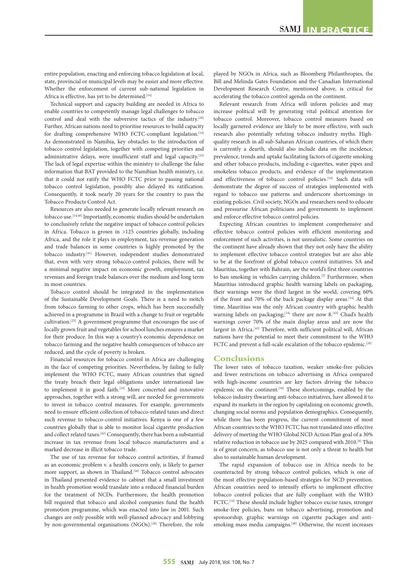entire population, enacting and enforcing tobacco legislation at local, state, provincial or municipal levels may be easier and more effective. Whether the enforcement of current sub-national legislation in Africa is effective, has yet to be determined.<sup>[14]</sup>

Technical support and capacity building are needed in Africa to enable countries to competently manage legal challenges to tobacco control and deal with the subversive tactics of the industry.[20] Further, African nations need to prioritise resources to build capacity for drafting comprehensive WHO FCTC-compliant legislation.<sup>[14]</sup> As demonstrated in Namibia, key obstacles to the introduction of tobacco control legislation, together with competing priorities and administrative delays, were insufficient staff and legal capacity.[23] The lack of legal expertise within the ministry to challenge the false information that BAT provided to the Namibian health ministry, i.e. that it could not ratify the WHO FCTC prior to passing national tobacco control legislation, possibly also delayed its ratification. Consequently, it took nearly 20 years for the country to pass the Tobacco Products Control Act.

Resources are also needed to generate locally relevant research on tobacco use.[14,40] Importantly, economic studies should be undertaken to conclusively refute the negative impact of tobacco control policies in Africa. Tobacco is grown in >125 countries globally, including Africa, and the role it plays in employment, tax-revenue generation and trade balances in some countries is highly promoted by the tobacco industry.[41] However, independent studies demonstrated that, even with very strong tobacco-control policies, there will be a minimal negative impact on economic growth, employment, tax revenues and foreign trade balances over the medium and long term in most countries.

Tobacco control should be integrated in the implementation of the Sustainable Development Goals. There is a need to switch from tobacco farming to other crops, which has been successfully achieved in a programme in Brazil with a change to fruit or vegetable cultivation.[25] A government programme that encourages the use of locally grown fruit and vegetables for school lunches ensures a market for their produce. In this way a country's economic dependence on tobacco farming and the negative health consequences of tobacco are reduced, and the cycle of poverty is broken.

Financial resources for tobacco control in Africa are challenging in the face of competing priorities. Nevertheless, by failing to fully implement the WHO FCTC, many African countries that signed the treaty breach their legal obligations under international law to implement it in good faith.<sup>[14]</sup> More concerted and innovative approaches, together with a strong will, are needed for governments to invest in tobacco control measures. For example, governments need to ensure efficient collection of tobacco-related taxes and direct such revenue to tobacco-control initiatives. Kenya is one of a few countries globally that is able to monitor local cigarette production and collect related taxes.[42] Consequently, there has been a substantial increase in tax revenue from local tobacco manufacturers and a marked decrease in illicit tobacco trade.

The use of tax revenue for tobacco control activities, if framed as an economic problem v. a health concern only, is likely to garner more support, as shown in Thailand.<sup>[26]</sup> Tobacco control advocates in Thailand presented evidence to cabinet that a small investment in health promotion would translate into a reduced financial burden for the treatment of NCDs. Furthermore, the health promotion bill required that tobacco and alcohol companies fund the health promotion programme, which was enacted into law in 2001. Such changes are only possible with well-planned advocacy and lobbying by non-governmental organisations (NGOs).<sup>[26]</sup> Therefore, the role played by NGOs in Africa, such as Bloomberg Philanthropies, the Bill and Melinda Gates Foundation and the Canadian International Development Research Centre, mentioned above, is critical for accelerating the tobacco control agenda on the continent.

Relevant research from Africa will inform policies and may increase political will by generating vital political attention for tobacco control. Moreover, tobacco control measures based on locally garnered evidence are likely to be more effective, with such research also potentially refuting tobacco industry myths. Highquality research in all sub-Saharan African countries, of which there is currently a dearth, should also include data on the incidence, prevalence, trends and uptake facilitating factors of cigarette smoking and other tobacco products, including e-cigarettes, water pipes and smokeless tobacco products, and evidence of the implementation and effectiveness of tobacco control policies.<sup>[16]</sup> Such data will demonstrate the degree of success of strategies implemented with regard to tobacco use patterns and underscore shortcomings in existing policies. Civil society, NGOs and researchers need to educate and pressurise African politicians and governments to implement and enforce effective tobacco control policies.

Expecting African countries to implement comprehensive and effective tobacco control policies with efficient monitoring and enforcement of such activities, is not unrealistic. Some countries on the continent have already shown that they not only have the ability to implement effective tobacco control strategies but are also able to be at the forefront of global tobacco control initiatives. SA and Mauritius, together with Bahrain, are the world's first three countries to ban smoking in vehicles carrying children.<sup>[2]</sup> Furthermore, when Mauritius introduced graphic health warning labels on packaging, their warnings were the third largest in the world, covering 60% of the front and 70% of the back package display areas.[14] At that time, Mauritius was the only African country with graphic health warning labels on packaging;<sup>[14]</sup> there are now 8.<sup>[43]</sup> Chad's health warnings cover 70% of the main display areas and are now the largest in Africa.<sup>[43]</sup> Therefore, with sufficient political will, African nations have the potential to meet their commitment to the WHO FCTC and prevent a full-scale escalation of the tobacco epidemic.<sup>[20]</sup>

## **Conclusions**

The lower rates of tobacco taxation, weaker smoke-free policies and fewer restrictions on tobacco advertising in Africa compared with high-income countries are key factors driving the tobacco epidemic on the continent.<sup>[16]</sup> These shortcomings, enabled by the tobacco industry thwarting anti-tobacco initiatives, have allowed it to expand its markets in the region by capitalising on economic growth, changing social norms and population demographics. Consequently, while there has been progress, the current commitment of most African countries to the WHO FCTC has not translated into effective delivery of meeting the WHO Global NCD Action Plan goal of a 30% relative reduction in tobacco use by 2025 compared with 2010.[9] This is of great concern, as tobacco use is not only a threat to health but also to sustainable human development.

The rapid expansion of tobacco use in Africa needs to be counteracted by strong tobacco control policies, which is one of the most effective population-based strategies for NCD prevention. African countries need to intensify efforts to implement effective tobacco control policies that are fully compliant with the WHO FCTC.<sup>[14]</sup> These should include higher tobacco excise taxes, stronger smoke-free policies, bans on tobacco advertising, promotion and sponsorship, graphic warnings on cigarette packages and antismoking mass media campaigns.<sup>[40]</sup> Otherwise, the recent increases